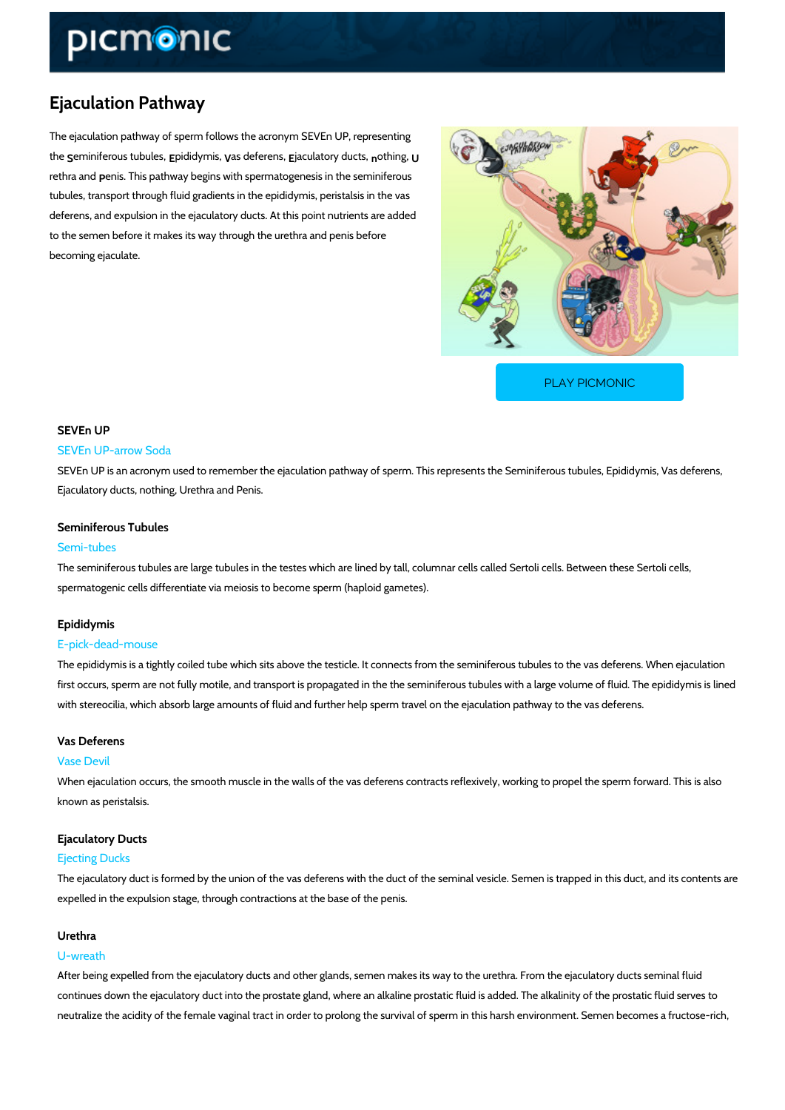# Ejaculation Pathway

The ejaculation pathway of sperm follows the acronym SEVEn UP, representing these miniferous topub duilde ysnyaiss, defere panasulatory not tubuliting,

rethra peemds. This pathway begins with spermatogenesis in the seminiferous tubules, transport through fluid gradients in the epididymis, peristalsis in the vas deferens, and expulsion in the ejaculatory ducts. At this point nutrients are added to the semen before it makes its way through the urethra and penis before becoming ejaculate.

[PLAY PICMONIC](https://www.picmonic.com/learn/ejaculation-pathway_1597?utm_source=downloadable_content&utm_medium=distributedcontent&utm_campaign=pathways_pdf&utm_content=Ejaculation Pathway&utm_ad_group=leads&utm_market=all)

# SEVEn UP

### SEVEn UP-arrow Soda

SEVEn UP is an acronym used to remember the ejaculation pathway of sperm. This represents Ejaculatory ducts, nothing, Urethra and Penis.

## Seminiferous Tubules

#### Semi-tubes

The seminiferous tubules are large tubules in the testes which are lined by tall, columnar cell spermatogenic cells differentiate via meiosis to become sperm (haploid gametes).

#### Epididymis

#### E-pick-dead-mouse

The epididymis is a tightly coiled tube which sits above the testicle. It connects from the sem first occurs, sperm are not fully motile, and transport is propagated in the the seminiferous tu with stereocilia, which absorb large amounts of fluid and further help sperm travel on the ejaculation

## Vas Deferens

#### Vase Devil

When ejaculation occurs, the smooth muscle in the walls of the vas deferens contracts reflexi known as peristalsis.

# Ejaculatory Ducts

## Ejecting Ducks

The ejaculatory duct is formed by the union of the vas deferens with the duct of the seminal v expelled in the expulsion stage, through contractions at the base of the penis.

### Urethra

#### U-wreath

After being expelled from the ejaculatory ducts and other glands, semen makes its way to the continues down the ejaculatory duct into the prostate gland, where an alkaline prostatic fluid neutralize the acidity of the female vaginal tract in order to prolong the survival of sperm in the